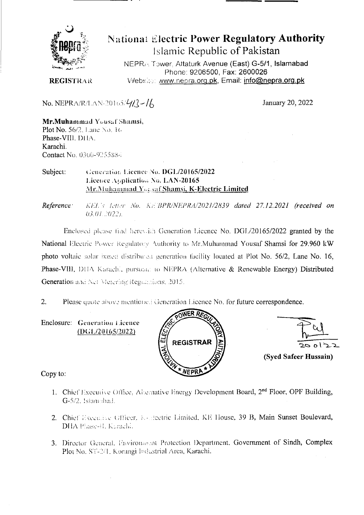

# **National Electric Power Regulatory Authority** Islamic Republic of Pakistan

NEPRA Tower, Attaturk Avenue (East) G-5/1, Islamabad Phone: 9206500, Fax: 2600026 Website: www.nepra.org.pk, Email: info@nepra.org.pk

**REGISTRAR** 

No. NEPRA/R/LAN-20165/ $4/2$ -/6

January 20, 2022

Mr.Muhammad Yousaf Shamsi, **Plot No. 56/2**, Lane No. 16 Phase-VIII. DHA. Karachi **Contact No. 0300-9255884** 

#### Subject: Generation Licence No. DGL/20165/2022 Licence Application No. LAN-20165 Mr.Muhammad Yousaf Shamsi, K-Electric Limited

Reference: KEL's letter No. KEBPR/NEPRA/2021/2839 dated 27.12.2021 (received on 03.01.2022).

Enclosed please find herewith Generation Licence No. DGL/20165/2022 granted by the National Electric Power Regulatory Authority to Mr.Muhammad Yousaf Shamsi for 29.960 kW photo voltaic solar based distributed generation facility located at Plot No. 56/2, Lane No. 16, Phase-VIII, DHA Karachi, pursuant to NEPRA (Alternative & Renewable Energy) Distributed Generation and Net Metering Regulations, 2015.

 $2.$ Please quote above mentioned Generation Licence No. for future correspondence.

Enclosure: Generation Licence  $(DG1/20165/2022)$ 





Copy to:

- 1. Chief Executive Office, Alternative Energy Development Board, 2<sup>nd</sup> Floor, OPF Building, G-5/2, Islamsbad.
- 2. Chief Executive Officer, K-Heetric Limited, KE House, 39 B, Main Sunset Boulevard, DHA Phase-H. Kurachi,
- 3. Director General, Environment Protection Department, Government of Sindh, Complex Plot No. ST-2/1. Korangi Industrial Area, Karachi.